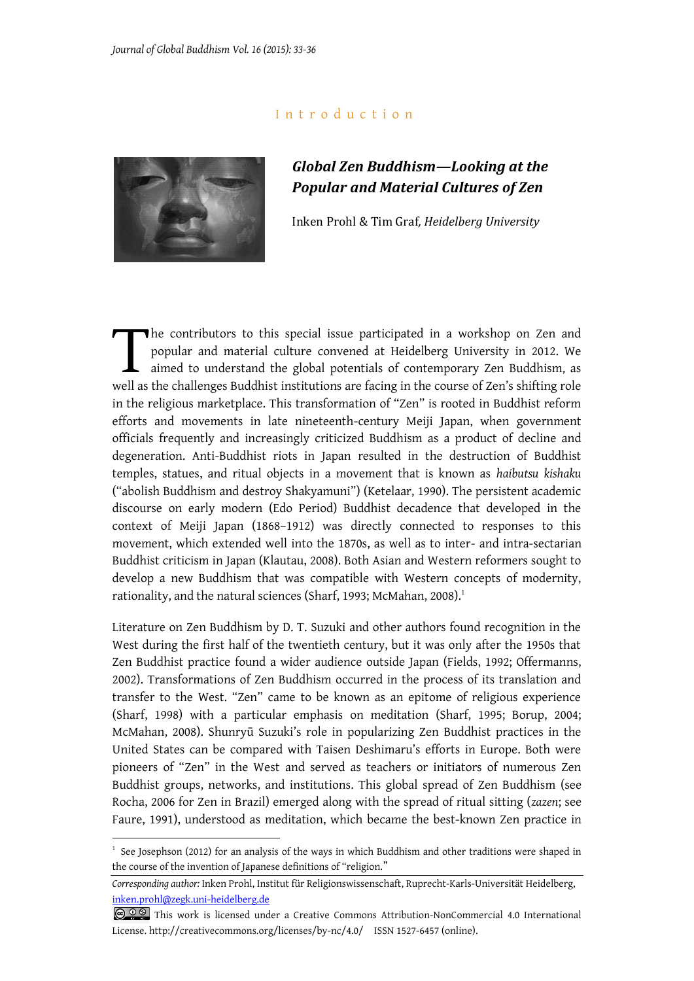## I n t r o d u c t i o n



1

## *Global Zen Buddhism—Looking at the Popular and Material Cultures of Zen*

Inken Prohl & Tim Graf*, Heidelberg University*

he contributors to this special issue participated in a workshop on Zen and popular and material culture convened at Heidelberg University in 2012. We aimed to understand the global potentials of contemporary Zen Buddhism, as well as the challenges Buddhist institutions are facing in the course of Zen's shifting role in the religious marketplace. This transformation of "Zen" is rooted in Buddhist reform efforts and movements in late nineteenth-century Meiji Japan, when government officials frequently and increasingly criticized Buddhism as a product of decline and degeneration. Anti-Buddhist riots in Japan resulted in the destruction of Buddhist temples, statues, and ritual objects in a movement that is known as *haibutsu kishaku* ("abolish Buddhism and destroy Shakyamuni") (Ketelaar, 1990). The persistent academic discourse on early modern (Edo Period) Buddhist decadence that developed in the context of Meiji Japan (1868–1912) was directly connected to responses to this movement, which extended well into the 1870s, as well as to inter- and intra-sectarian Buddhist criticism in Japan (Klautau, 2008). Both Asian and Western reformers sought to develop a new Buddhism that was compatible with Western concepts of modernity, rationality, and the natural sciences (Sharf, 1993; McMahan, 2008).<sup>1</sup>  $\prod_{\text{well as}}$ 

Literature on Zen Buddhism by D. T. Suzuki and other authors found recognition in the West during the first half of the twentieth century, but it was only after the 1950s that Zen Buddhist practice found a wider audience outside Japan (Fields, 1992; Offermanns, 2002). Transformations of Zen Buddhism occurred in the process of its translation and transfer to the West. "Zen" came to be known as an epitome of religious experience (Sharf, 1998) with a particular emphasis on meditation (Sharf, 1995; Borup, 2004; McMahan, 2008). Shunryū Suzuki's role in popularizing Zen Buddhist practices in the United States can be compared with Taisen Deshimaru's efforts in Europe. Both were pioneers of "Zen" in the West and served as teachers or initiators of numerous Zen Buddhist groups, networks, and institutions. This global spread of Zen Buddhism (see Rocha, 2006 for Zen in Brazil) emerged along with the spread of ritual sitting (*zazen*; see Faure, 1991), understood as meditation, which became the best-known Zen practice in

<sup>1</sup> See Josephson (2012) for an analysis of the ways in which Buddhism and other traditions were shaped in the course of the invention of Japanese definitions of "religion."

*Corresponding author:* Inken Prohl, Institut für Religionswissenschaft, Ruprecht-Karls-Universität Heidelberg, [inken.prohl@zegk.uni-heidelberg.de](mailto:inken.prohl@zegk.uni-heidelberg.de)

COOS This work is licensed under a Creative Commons Attribution-NonCommercial 4.0 International [License.](http://creativecommons.org/licenses/by-nc/4.0/deed.en_US) http://creativecommons.org/licenses/by-nc/4.0/ ISSN 1527-6457 (online).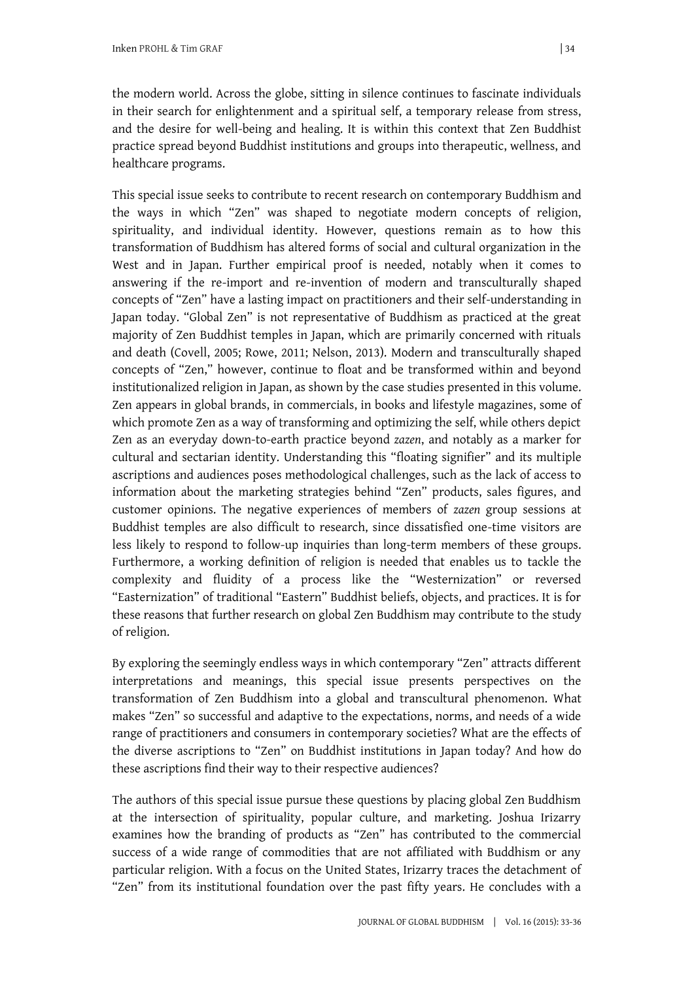the modern world. Across the globe, sitting in silence continues to fascinate individuals in their search for enlightenment and a spiritual self, a temporary release from stress, and the desire for well-being and healing. It is within this context that Zen Buddhist practice spread beyond Buddhist institutions and groups into therapeutic, wellness, and healthcare programs.

This special issue seeks to contribute to recent research on contemporary Buddhism and the ways in which "Zen" was shaped to negotiate modern concepts of religion, spirituality, and individual identity. However, questions remain as to how this transformation of Buddhism has altered forms of social and cultural organization in the West and in Japan. Further empirical proof is needed, notably when it comes to answering if the re-import and re-invention of modern and transculturally shaped concepts of "Zen" have a lasting impact on practitioners and their self-understanding in Japan today. "Global Zen" is not representative of Buddhism as practiced at the great majority of Zen Buddhist temples in Japan, which are primarily concerned with rituals and death (Covell, 2005; Rowe, 2011; Nelson, 2013). Modern and transculturally shaped concepts of "Zen," however, continue to float and be transformed within and beyond institutionalized religion in Japan, as shown by the case studies presented in this volume. Zen appears in global brands, in commercials, in books and lifestyle magazines, some of which promote Zen as a way of transforming and optimizing the self, while others depict Zen as an everyday down-to-earth practice beyond *zazen*, and notably as a marker for cultural and sectarian identity. Understanding this "floating signifier" and its multiple ascriptions and audiences poses methodological challenges, such as the lack of access to information about the marketing strategies behind "Zen" products, sales figures, and customer opinions. The negative experiences of members of *zazen* group sessions at Buddhist temples are also difficult to research, since dissatisfied one-time visitors are less likely to respond to follow-up inquiries than long-term members of these groups. Furthermore, a working definition of religion is needed that enables us to tackle the complexity and fluidity of a process like the "Westernization" or reversed "Easternization" of traditional "Eastern" Buddhist beliefs, objects, and practices. It is for these reasons that further research on global Zen Buddhism may contribute to the study of religion.

By exploring the seemingly endless ways in which contemporary "Zen" attracts different interpretations and meanings, this special issue presents perspectives on the transformation of Zen Buddhism into a global and transcultural phenomenon. What makes "Zen" so successful and adaptive to the expectations, norms, and needs of a wide range of practitioners and consumers in contemporary societies? What are the effects of the diverse ascriptions to "Zen" on Buddhist institutions in Japan today? And how do these ascriptions find their way to their respective audiences?

The authors of this special issue pursue these questions by placing global Zen Buddhism at the intersection of spirituality, popular culture, and marketing. Joshua Irizarry examines how the branding of products as "Zen" has contributed to the commercial success of a wide range of commodities that are not affiliated with Buddhism or any particular religion. With a focus on the United States, Irizarry traces the detachment of "Zen" from its institutional foundation over the past fifty years. He concludes with a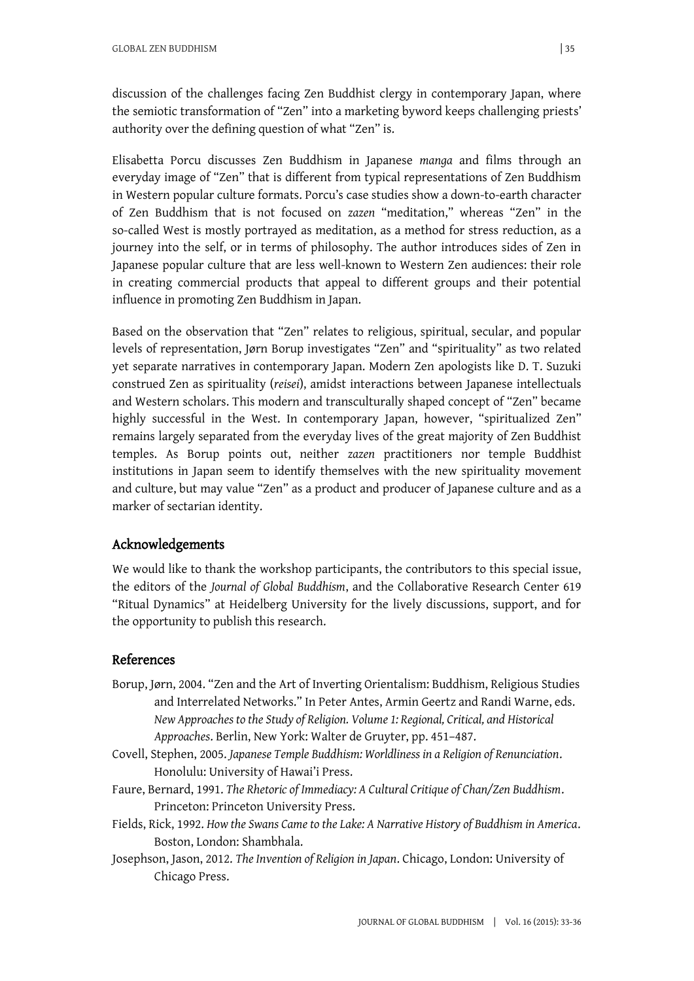discussion of the challenges facing Zen Buddhist clergy in contemporary Japan, where the semiotic transformation of "Zen" into a marketing byword keeps challenging priests' authority over the defining question of what "Zen" is.

Elisabetta Porcu discusses Zen Buddhism in Japanese *manga* and films through an everyday image of "Zen" that is different from typical representations of Zen Buddhism in Western popular culture formats. Porcu's case studies show a down-to-earth character of Zen Buddhism that is not focused on *zazen* "meditation," whereas "Zen" in the so-called West is mostly portrayed as meditation, as a method for stress reduction, as a journey into the self, or in terms of philosophy. The author introduces sides of Zen in Japanese popular culture that are less well-known to Western Zen audiences: their role in creating commercial products that appeal to different groups and their potential influence in promoting Zen Buddhism in Japan.

Based on the observation that "Zen" relates to religious, spiritual, secular, and popular levels of representation, Jørn Borup investigates "Zen" and "spirituality" as two related yet separate narratives in contemporary Japan. Modern Zen apologists like D. T. Suzuki construed Zen as spirituality (*reisei*), amidst interactions between Japanese intellectuals and Western scholars. This modern and transculturally shaped concept of "Zen" became highly successful in the West. In contemporary Japan, however, "spiritualized Zen" remains largely separated from the everyday lives of the great majority of Zen Buddhist temples. As Borup points out, neither *zazen* practitioners nor temple Buddhist institutions in Japan seem to identify themselves with the new spirituality movement and culture, but may value "Zen" as a product and producer of Japanese culture and as a marker of sectarian identity.

## Acknowledgements

We would like to thank the workshop participants, the contributors to this special issue, the editors of the *Journal of Global Buddhism*, and the Collaborative Research Center 619 "Ritual Dynamics" at Heidelberg University for the lively discussions, support, and for the opportunity to publish this research.

## References

- Borup, Jørn, 2004. "Zen and the Art of Inverting Orientalism: Buddhism, Religious Studies and Interrelated Networks." In Peter Antes, Armin Geertz and Randi Warne, eds. *New Approaches to the Study of Religion. Volume 1: Regional, Critical, and Historical Approaches*. Berlin, New York: Walter de Gruyter, pp. 451–487.
- Covell, Stephen, 2005. *Japanese Temple Buddhism: Worldliness in a Religion of Renunciation*. Honolulu: University of Hawai'i Press.
- Faure, Bernard, 1991. *The Rhetoric of Immediacy: A Cultural Critique of Chan/Zen Buddhism*. Princeton: Princeton University Press.
- Fields, Rick, 1992. *How the Swans Came to the Lake: A Narrative History of Buddhism in America*. Boston, London: Shambhala.
- Josephson, Jason, 2012. *The Invention of Religion in Japan*. Chicago, London: University of Chicago Press.